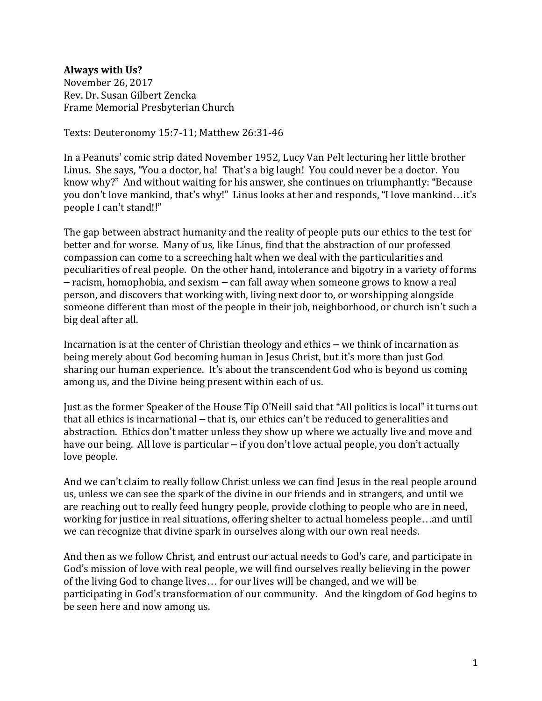## **Always with Us?**

November 26, 2017 Rev. Dr. Susan Gilbert Zencka Frame Memorial Presbyterian Church

Texts: Deuteronomy 15:7-11; Matthew 26:31-46

In a Peanuts' comic strip dated November 1952, Lucy Van Pelt lecturing her little brother Linus. She says, "You a doctor, ha! That's a big laugh! You could never be a doctor. You know why?" And without waiting for his answer, she continues on triumphantly: "Because you don't love mankind, that's why!" Linus looks at her and responds, "I love mankind…it's people I can't stand!!"

The gap between abstract humanity and the reality of people puts our ethics to the test for better and for worse. Many of us, like Linus, find that the abstraction of our professed compassion can come to a screeching halt when we deal with the particularities and peculiarities of real people. On the other hand, intolerance and bigotry in a variety of forms – racism, homophobia, and sexism – can fall away when someone grows to know a real person, and discovers that working with, living next door to, or worshipping alongside someone different than most of the people in their job, neighborhood, or church isn't such a big deal after all.

Incarnation is at the center of Christian theology and ethics – we think of incarnation as being merely about God becoming human in Jesus Christ, but it's more than just God sharing our human experience. It's about the transcendent God who is beyond us coming among us, and the Divine being present within each of us.

Just as the former Speaker of the House Tip O'Neill said that "All politics is local" it turns out that all ethics is incarnational – that is, our ethics can't be reduced to generalities and abstraction. Ethics don't matter unless they show up where we actually live and move and have our being. All love is particular – if you don't love actual people, you don't actually love people.

And we can't claim to really follow Christ unless we can find Jesus in the real people around us, unless we can see the spark of the divine in our friends and in strangers, and until we are reaching out to really feed hungry people, provide clothing to people who are in need, working for justice in real situations, offering shelter to actual homeless people…and until we can recognize that divine spark in ourselves along with our own real needs.

And then as we follow Christ, and entrust our actual needs to God's care, and participate in God's mission of love with real people, we will find ourselves really believing in the power of the living God to change lives… for our lives will be changed, and we will be participating in God's transformation of our community. And the kingdom of God begins to be seen here and now among us.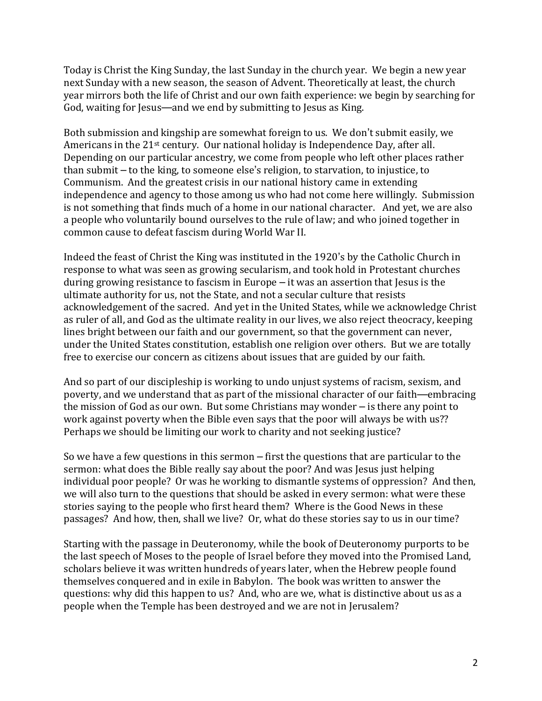Today is Christ the King Sunday, the last Sunday in the church year. We begin a new year next Sunday with a new season, the season of Advent. Theoretically at least, the church year mirrors both the life of Christ and our own faith experience: we begin by searching for God, waiting for Jesus—and we end by submitting to Jesus as King.

Both submission and kingship are somewhat foreign to us. We don't submit easily, we Americans in the 21st century. Our national holiday is Independence Day, after all. Depending on our particular ancestry, we come from people who left other places rather than submit – to the king, to someone else's religion, to starvation, to injustice, to Communism. And the greatest crisis in our national history came in extending independence and agency to those among us who had not come here willingly. Submission is not something that finds much of a home in our national character. And yet, we are also a people who voluntarily bound ourselves to the rule of law; and who joined together in common cause to defeat fascism during World War II.

Indeed the feast of Christ the King was instituted in the 1920's by the Catholic Church in response to what was seen as growing secularism, and took hold in Protestant churches during growing resistance to fascism in Europe – it was an assertion that Jesus is the ultimate authority for us, not the State, and not a secular culture that resists acknowledgement of the sacred. And yet in the United States, while we acknowledge Christ as ruler of all, and God as the ultimate reality in our lives, we also reject theocracy, keeping lines bright between our faith and our government, so that the government can never, under the United States constitution, establish one religion over others. But we are totally free to exercise our concern as citizens about issues that are guided by our faith.

And so part of our discipleship is working to undo unjust systems of racism, sexism, and poverty, and we understand that as part of the missional character of our faith—embracing the mission of God as our own. But some Christians may wonder – is there any point to work against poverty when the Bible even says that the poor will always be with us?? Perhaps we should be limiting our work to charity and not seeking justice?

So we have a few questions in this sermon – first the questions that are particular to the sermon: what does the Bible really say about the poor? And was Jesus just helping individual poor people? Or was he working to dismantle systems of oppression? And then, we will also turn to the questions that should be asked in every sermon: what were these stories saying to the people who first heard them? Where is the Good News in these passages? And how, then, shall we live? Or, what do these stories say to us in our time?

Starting with the passage in Deuteronomy, while the book of Deuteronomy purports to be the last speech of Moses to the people of Israel before they moved into the Promised Land, scholars believe it was written hundreds of years later, when the Hebrew people found themselves conquered and in exile in Babylon. The book was written to answer the questions: why did this happen to us? And, who are we, what is distinctive about us as a people when the Temple has been destroyed and we are not in Jerusalem?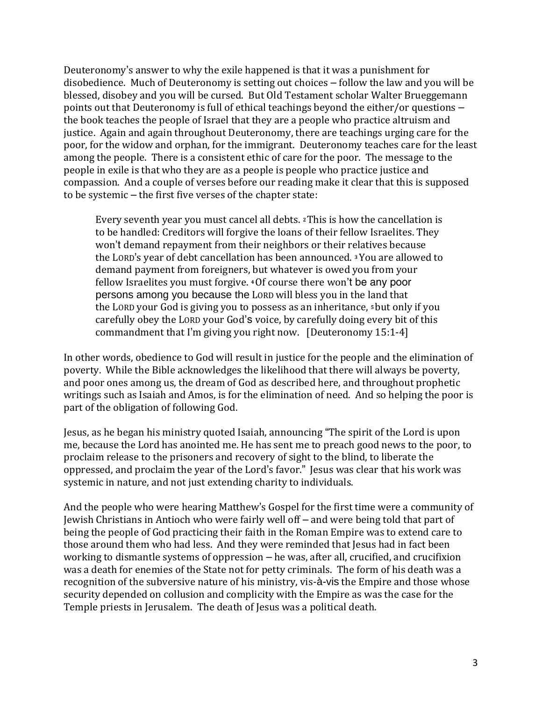Deuteronomy's answer to why the exile happened is that it was a punishment for disobedience. Much of Deuteronomy is setting out choices – follow the law and you will be blessed, disobey and you will be cursed. But Old Testament scholar Walter Brueggemann points out that Deuteronomy is full of ethical teachings beyond the either/or questions – the book teaches the people of Israel that they are a people who practice altruism and justice. Again and again throughout Deuteronomy, there are teachings urging care for the poor, for the widow and orphan, for the immigrant. Deuteronomy teaches care for the least among the people. There is a consistent ethic of care for the poor. The message to the people in exile is that who they are as a people is people who practice justice and compassion. And a couple of verses before our reading make it clear that this is supposed to be systemic – the first five verses of the chapter state:

Every seventh year you must cancel all debts. **<sup>2</sup>**This is how the cancellation is to be handled: Creditors will forgive the loans of their fellow Israelites. They won't demand repayment from their neighbors or their relatives because the LORD's year of debt cancellation has been announced. **<sup>3</sup>** You are allowed to demand payment from foreigners, but whatever is owed you from your fellow Israelites you must forgive. **<sup>4</sup>**Of course there won't be any poor persons among you because the LORD will bless you in the land that the LORD your God is giving you to possess as an inheritance, **<sup>5</sup>** but only if you carefully obey the LORD your God's voice, by carefully doing every bit of this commandment that I'm giving you right now. [Deuteronomy 15:1-4]

In other words, obedience to God will result in justice for the people and the elimination of poverty. While the Bible acknowledges the likelihood that there will always be poverty, and poor ones among us, the dream of God as described here, and throughout prophetic writings such as Isaiah and Amos, is for the elimination of need. And so helping the poor is part of the obligation of following God.

Jesus, as he began his ministry quoted Isaiah, announcing "The spirit of the Lord is upon me, because the Lord has anointed me. He has sent me to preach good news to the poor, to proclaim release to the prisoners and recovery of sight to the blind, to liberate the oppressed, and proclaim the year of the Lord's favor." Jesus was clear that his work was systemic in nature, and not just extending charity to individuals.

And the people who were hearing Matthew's Gospel for the first time were a community of Jewish Christians in Antioch who were fairly well off – and were being told that part of being the people of God practicing their faith in the Roman Empire was to extend care to those around them who had less. And they were reminded that Jesus had in fact been working to dismantle systems of oppression – he was, after all, crucified, and crucifixion was a death for enemies of the State not for petty criminals. The form of his death was a recognition of the subversive nature of his ministry, vis-à-vis the Empire and those whose security depended on collusion and complicity with the Empire as was the case for the Temple priests in Jerusalem. The death of Jesus was a political death.